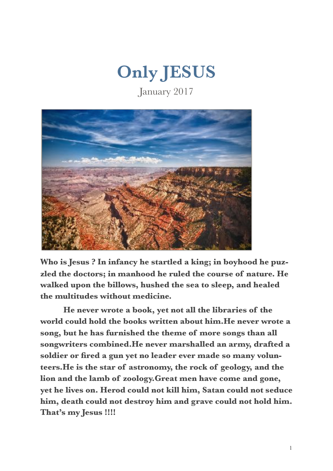

January 2017



**Who is Jesus ? In infancy he startled a king; in boyhood he puzzled the doctors; in manhood he ruled the course of nature. He walked upon the billows, hushed the sea to sleep, and healed the multitudes without medicine.** 

 **He never wrote a book, yet not all the libraries of the world could hold the books written about him.He never wrote a song, but he has furnished the theme of more songs than all songwriters combined.He never marshalled an army, drafted a soldier or fired a gun yet no leader ever made so many volunteers.He is the star of astronomy, the rock of geology, and the lion and the lamb of zoology.Great men have come and gone, yet he lives on. Herod could not kill him, Satan could not seduce him, death could not destroy him and grave could not hold him. That's my Jesus !!!!**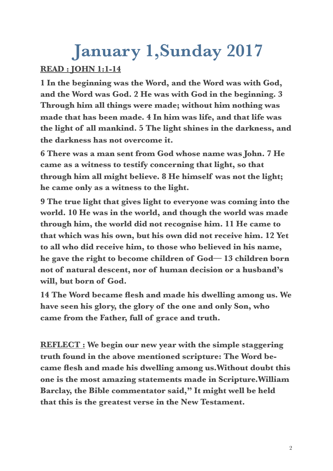### **January 1,Sunday 2017**

#### **READ : JOHN 1:1-14**

**1 In the beginning was the Word, and the Word was with God, and the Word was God. 2 He was with God in the beginning. 3 Through him all things were made; without him nothing was made that has been made. 4 In him was life, and that life was the light of all mankind. 5 The light shines in the darkness, and the darkness has not overcome it.** 

**6 There was a man sent from God whose name was John. 7 He came as a witness to testify concerning that light, so that through him all might believe. 8 He himself was not the light; he came only as a witness to the light.** 

**9 The true light that gives light to everyone was coming into the world. 10 He was in the world, and though the world was made through him, the world did not recognise him. 11 He came to that which was his own, but his own did not receive him. 12 Yet to all who did receive him, to those who believed in his name, he gave the right to become children of God— 13 children born not of natural descent, nor of human decision or a husband's will, but born of God.** 

**14 The Word became flesh and made his dwelling among us. We have seen his glory, the glory of the one and only Son, who came from the Father, full of grace and truth.** 

**REFLECT : We begin our new year with the simple staggering truth found in the above mentioned scripture: The Word became flesh and made his dwelling among us.Without doubt this one is the most amazing statements made in Scripture.William Barclay, the Bible commentator said," It might well be held that this is the greatest verse in the New Testament.**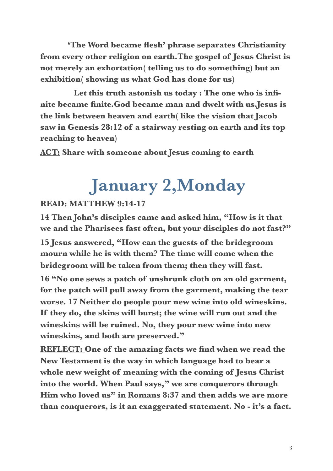**'The Word became flesh' phrase separates Christianity from every other religion on earth.The gospel of Jesus Christ is not merely an exhortation( telling us to do something) but an exhibition( showing us what God has done for us)** 

 **Let this truth astonish us today : The one who is infinite became finite.God became man and dwelt with us.Jesus is the link between heaven and earth( like the vision that Jacob saw in Genesis 28:12 of a stairway resting on earth and its top reaching to heaven)** 

**ACT: Share with someone about Jesus coming to earth** 

### **January 2,Monday**

#### **READ: MATTHEW 9:14-17**

**14 Then John's disciples came and asked him, "How is it that we and the Pharisees fast often, but your disciples do not fast?"** 

**15 Jesus answered, "How can the guests of the bridegroom mourn while he is with them? The time will come when the bridegroom will be taken from them; then they will fast.** 

**16 "No one sews a patch of unshrunk cloth on an old garment, for the patch will pull away from the garment, making the tear worse. 17 Neither do people pour new wine into old wineskins. If they do, the skins will burst; the wine will run out and the wineskins will be ruined. No, they pour new wine into new wineskins, and both are preserved."** 

**REFLECT: One of the amazing facts we find when we read the New Testament is the way in which language had to bear a whole new weight of meaning with the coming of Jesus Christ into the world. When Paul says," we are conquerors through Him who loved us" in Romans 8:37 and then adds we are more than conquerors, is it an exaggerated statement. No - it's a fact.**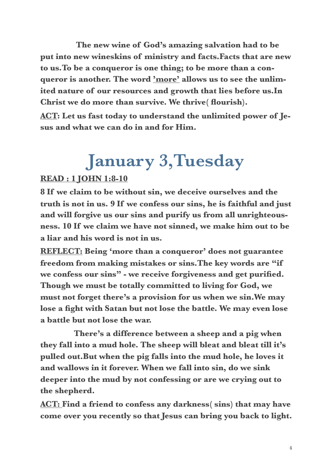**The new wine of God's amazing salvation had to be put into new wineskins of ministry and facts.Facts that are new to us.To be a conqueror is one thing; to be more than a conqueror is another. The word 'more' allows us to see the unlimited nature of our resources and growth that lies before us.In Christ we do more than survive. We thrive( flourish).** 

**ACT: Let us fast today to understand the unlimited power of Jesus and what we can do in and for Him.** 

### **January 3,Tuesday**

#### **READ : 1 JOHN 1:8-10**

**8 If we claim to be without sin, we deceive ourselves and the truth is not in us. 9 If we confess our sins, he is faithful and just and will forgive us our sins and purify us from all unrighteousness. 10 If we claim we have not sinned, we make him out to be a liar and his word is not in us.** 

**REFLECT: Being 'more than a conqueror' does not guarantee freedom from making mistakes or sins.The key words are "if we confess our sins" - we receive forgiveness and get purified. Though we must be totally committed to living for God, we must not forget there's a provision for us when we sin.We may lose a fight with Satan but not lose the battle. We may even lose a battle but not lose the war.** 

 **There's a difference between a sheep and a pig when they fall into a mud hole. The sheep will bleat and bleat till it's pulled out.But when the pig falls into the mud hole, he loves it and wallows in it forever. When we fall into sin, do we sink deeper into the mud by not confessing or are we crying out to the shepherd.** 

**ACT: Find a friend to confess any darkness( sins) that may have come over you recently so that Jesus can bring you back to light.**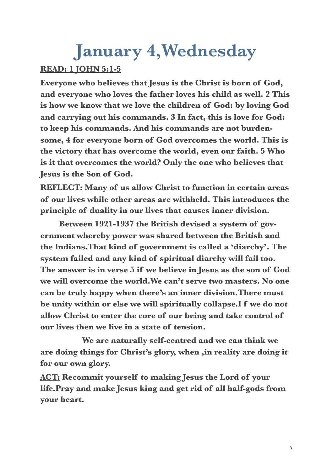# **January 4,Wednesday**

#### **READ: 1 JOHN 5:1-5**

**Everyone who believes that Jesus is the Christ is born of God, and everyone who loves the father loves his child as well. 2 This is how we know that we love the children of God: by loving God and carrying out his commands. 3 In fact, this is love for God: to keep his commands. And his commands are not burdensome, 4 for everyone born of God overcomes the world. This is the victory that has overcome the world, even our faith. 5 Who is it that overcomes the world? Only the one who believes that Jesus is the Son of God.** 

**REFLECT: Many of us allow Christ to function in certain areas of our lives while other areas are withheld. This introduces the principle of duality in our lives that causes inner division.** 

 **Between 1921-1937 the British devised a system of government whereby power was shared between the British and the Indians.That kind of government is called a 'diarchy'. The system failed and any kind of spiritual diarchy will fail too. The answer is in verse 5 if we believe in Jesus as the son of God we will overcome the world.We can't serve two masters. No one can be truly happy when there's an inner division.There must be unity within or else we will spiritually collapse.I f we do not allow Christ to enter the core of our being and take control of our lives then we live in a state of tension.** 

 **We are naturally self-centred and we can think we are doing things for Christ's glory, when ,in reality are doing it for our own glory.** 

**ACT: Recommit yourself to making Jesus the Lord of your life.Pray and make Jesus king and get rid of all half-gods from your heart.**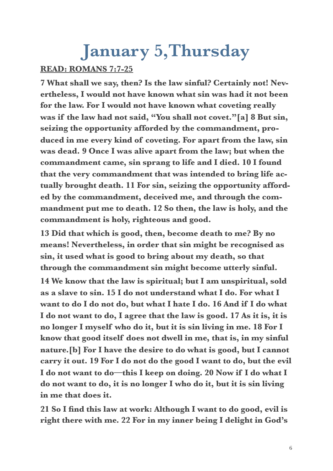### **January 5,Thursday**

#### **READ: ROMANS 7:7-25**

**7 What shall we say, then? Is the law sinful? Certainly not! Nevertheless, I would not have known what sin was had it not been for the law. For I would not have known what coveting really was if the law had not said, "You shall not covet."[a] 8 But sin, seizing the opportunity afforded by the commandment, produced in me every kind of coveting. For apart from the law, sin was dead. 9 Once I was alive apart from the law; but when the commandment came, sin sprang to life and I died. 10 I found that the very commandment that was intended to bring life actually brought death. 11 For sin, seizing the opportunity afforded by the commandment, deceived me, and through the commandment put me to death. 12 So then, the law is holy, and the commandment is holy, righteous and good.** 

**13 Did that which is good, then, become death to me? By no means! Nevertheless, in order that sin might be recognised as sin, it used what is good to bring about my death, so that through the commandment sin might become utterly sinful.** 

**14 We know that the law is spiritual; but I am unspiritual, sold as a slave to sin. 15 I do not understand what I do. For what I want to do I do not do, but what I hate I do. 16 And if I do what I do not want to do, I agree that the law is good. 17 As it is, it is no longer I myself who do it, but it is sin living in me. 18 For I know that good itself does not dwell in me, that is, in my sinful nature.[b] For I have the desire to do what is good, but I cannot carry it out. 19 For I do not do the good I want to do, but the evil I do not want to do—this I keep on doing. 20 Now if I do what I do not want to do, it is no longer I who do it, but it is sin living in me that does it.** 

**21 So I find this law at work: Although I want to do good, evil is right there with me. 22 For in my inner being I delight in God's**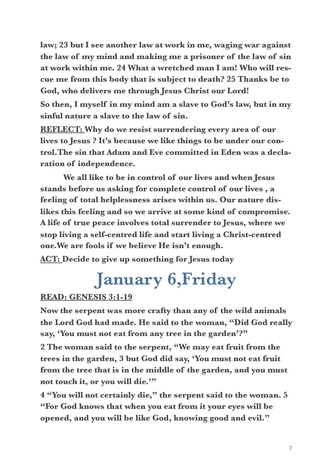**law; 23 but I see another law at work in me, waging war against the law of my mind and making me a prisoner of the law of sin at work within me. 24 What a wretched man I am! Who will rescue me from this body that is subject to death? 25 Thanks be to God, who delivers me through Jesus Christ our Lord!** 

**So then, I myself in my mind am a slave to God's law, but in my sinful nature a slave to the law of sin.** 

**REFLECT: Why do we resist surrendering every area of our lives to Jesus ? It's because we like things to be under our control.The sin that Adam and Eve committed in Eden was a declaration of independence.** 

 **We all like to be in control of our lives and when Jesus stands before us asking for complete control of our lives , a feeling of total helplessness arises within us. Our nature dislikes this feeling and so we arrive at some kind of compromise. A life of true peace involves total surrender to Jesus, where we stop living a self-centred life and start living a Christ-centred one.We are fools if we believe He isn't enough.** 

**ACT: Decide to give up something for Jesus today** 

### **January 6,Friday**

#### **READ: GENESIS 3:1-19**

**Now the serpent was more crafty than any of the wild animals the Lord God had made. He said to the woman, "Did God really say, 'You must not eat from any tree in the garden'?"**

**2 The woman said to the serpent, "We may eat fruit from the trees in the garden, 3 but God did say, 'You must not eat fruit from the tree that is in the middle of the garden, and you must not touch it, or you will die.'"** 

**4 "You will not certainly die," the serpent said to the woman. 5 "For God knows that when you eat from it your eyes will be opened, and you will be like God, knowing good and evil."**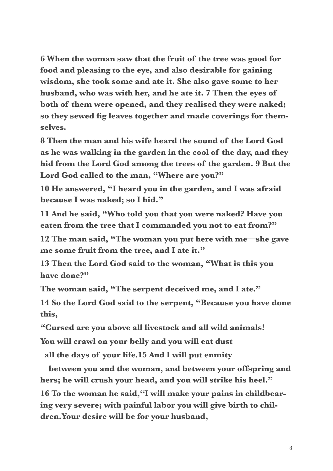**6 When the woman saw that the fruit of the tree was good for food and pleasing to the eye, and also desirable for gaining wisdom, she took some and ate it. She also gave some to her husband, who was with her, and he ate it. 7 Then the eyes of both of them were opened, and they realised they were naked; so they sewed fig leaves together and made coverings for themselves.** 

**8 Then the man and his wife heard the sound of the Lord God as he was walking in the garden in the cool of the day, and they hid from the Lord God among the trees of the garden. 9 But the Lord God called to the man, "Where are you?"** 

**10 He answered, "I heard you in the garden, and I was afraid because I was naked; so I hid."** 

**11 And he said, "Who told you that you were naked? Have you eaten from the tree that I commanded you not to eat from?"** 

**12 The man said, "The woman you put here with me—she gave me some fruit from the tree, and I ate it."** 

**13 Then the Lord God said to the woman, "What is this you have done?"** 

**The woman said, "The serpent deceived me, and I ate."** 

**14 So the Lord God said to the serpent, "Because you have done this,** 

**"Cursed are you above all livestock and all wild animals!** 

**You will crawl on your belly and you will eat dust** 

 **all the days of your life.15 And I will put enmity** 

 **between you and the woman, and between your offspring and hers; he will crush your head, and you will strike his heel." 16 To the woman he said,"I will make your pains in childbearing very severe; with painful labor you will give birth to children.Your desire will be for your husband,**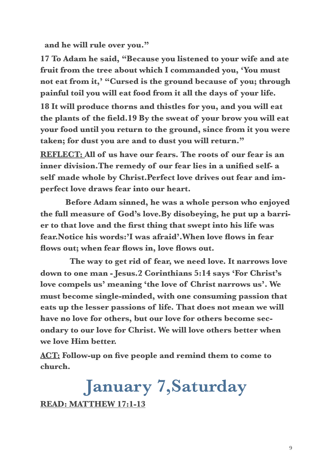**and he will rule over you."** 

**17 To Adam he said, "Because you listened to your wife and ate fruit from the tree about which I commanded you, 'You must not eat from it,' "Cursed is the ground because of you; through painful toil you will eat food from it all the days of your life.** 

**18 It will produce thorns and thistles for you, and you will eat the plants of the field.19 By the sweat of your brow you will eat your food until you return to the ground, since from it you were taken; for dust you are and to dust you will return."** 

**REFLECT: All of us have our fears. The roots of our fear is an inner division.The remedy of our fear lies in a unified self- a self made whole by Christ.Perfect love drives out fear and imperfect love draws fear into our heart.** 

 **Before Adam sinned, he was a whole person who enjoyed the full measure of God's love.By disobeying, he put up a barrier to that love and the first thing that swept into his life was fear.Notice his words:'I was afraid'.When love flows in fear flows out; when fear flows in, love flows out.** 

 **The way to get rid of fear, we need love. It narrows love down to one man - Jesus.2 Corinthians 5:14 says 'For Christ's love compels us' meaning 'the love of Christ narrows us'. We must become single-minded, with one consuming passion that eats up the lesser passions of life. That does not mean we will have no love for others, but our love for others become secondary to our love for Christ. We will love others better when we love Him better.** 

**ACT: Follow-up on five people and remind them to come to church.** 

**January 7,Saturday READ: MATTHEW 17:1-13**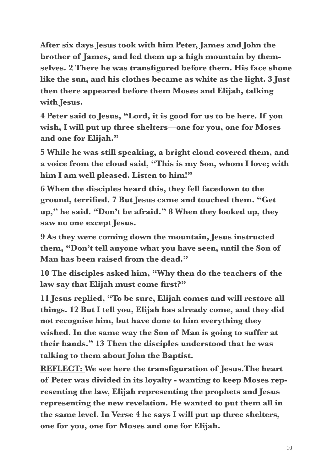**After six days Jesus took with him Peter, James and John the brother of James, and led them up a high mountain by themselves. 2 There he was transfigured before them. His face shone like the sun, and his clothes became as white as the light. 3 Just then there appeared before them Moses and Elijah, talking with Jesus.** 

**4 Peter said to Jesus, "Lord, it is good for us to be here. If you wish, I will put up three shelters—one for you, one for Moses and one for Elijah."** 

**5 While he was still speaking, a bright cloud covered them, and a voice from the cloud said, "This is my Son, whom I love; with him I am well pleased. Listen to him!"** 

**6 When the disciples heard this, they fell facedown to the ground, terrified. 7 But Jesus came and touched them. "Get up," he said. "Don't be afraid." 8 When they looked up, they saw no one except Jesus.**

**9 As they were coming down the mountain, Jesus instructed them, "Don't tell anyone what you have seen, until the Son of Man has been raised from the dead."**

**10 The disciples asked him, "Why then do the teachers of the law say that Elijah must come first?"** 

**11 Jesus replied, "To be sure, Elijah comes and will restore all things. 12 But I tell you, Elijah has already come, and they did not recognise him, but have done to him everything they wished. In the same way the Son of Man is going to suffer at their hands." 13 Then the disciples understood that he was talking to them about John the Baptist.**

**REFLECT: We see here the transfiguration of Jesus.The heart of Peter was divided in its loyalty - wanting to keep Moses representing the law, Elijah representing the prophets and Jesus representing the new revelation. He wanted to put them all in the same level. In Verse 4 he says I will put up three shelters, one for you, one for Moses and one for Elijah.**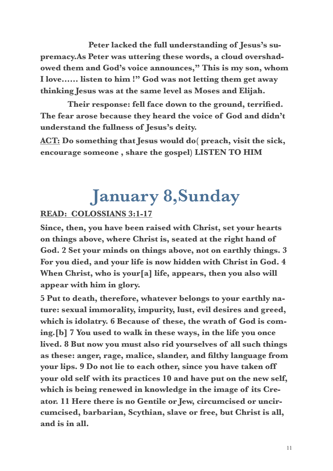**Peter lacked the full understanding of Jesus's supremacy.As Peter was uttering these words, a cloud overshadowed them and God's voice announces," This is my son, whom I love…… listen to him !" God was not letting them get away thinking Jesus was at the same level as Moses and Elijah.** 

 **Their response: fell face down to the ground, terrified. The fear arose because they heard the voice of God and didn't understand the fullness of Jesus's deity.** 

**ACT: Do something that Jesus would do( preach, visit the sick, encourage someone , share the gospel) LISTEN TO HIM** 

### **January 8,Sunday**

#### **READ: COLOSSIANS 3:1-17**

**Since, then, you have been raised with Christ, set your hearts on things above, where Christ is, seated at the right hand of God. 2 Set your minds on things above, not on earthly things. 3 For you died, and your life is now hidden with Christ in God. 4 When Christ, who is your[a] life, appears, then you also will appear with him in glory.** 

**5 Put to death, therefore, whatever belongs to your earthly nature: sexual immorality, impurity, lust, evil desires and greed, which is idolatry. 6 Because of these, the wrath of God is coming.[b] 7 You used to walk in these ways, in the life you once lived. 8 But now you must also rid yourselves of all such things as these: anger, rage, malice, slander, and filthy language from your lips. 9 Do not lie to each other, since you have taken off your old self with its practices 10 and have put on the new self, which is being renewed in knowledge in the image of its Creator. 11 Here there is no Gentile or Jew, circumcised or uncircumcised, barbarian, Scythian, slave or free, but Christ is all, and is in all.**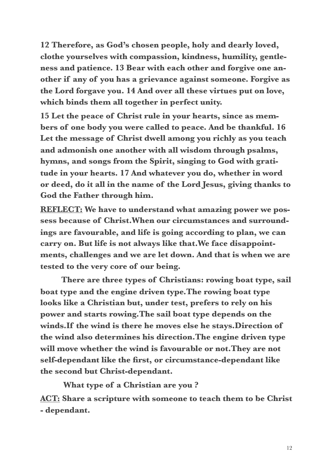**12 Therefore, as God's chosen people, holy and dearly loved, clothe yourselves with compassion, kindness, humility, gentleness and patience. 13 Bear with each other and forgive one another if any of you has a grievance against someone. Forgive as the Lord forgave you. 14 And over all these virtues put on love, which binds them all together in perfect unity.** 

**15 Let the peace of Christ rule in your hearts, since as members of one body you were called to peace. And be thankful. 16 Let the message of Christ dwell among you richly as you teach and admonish one another with all wisdom through psalms, hymns, and songs from the Spirit, singing to God with gratitude in your hearts. 17 And whatever you do, whether in word or deed, do it all in the name of the Lord Jesus, giving thanks to God the Father through him.** 

**REFLECT: We have to understand what amazing power we possess because of Christ.When our circumstances and surroundings are favourable, and life is going according to plan, we can carry on. But life is not always like that.We face disappointments, challenges and we are let down. And that is when we are tested to the very core of our being.** 

 **There are three types of Christians: rowing boat type, sail boat type and the engine driven type.The rowing boat type looks like a Christian but, under test, prefers to rely on his power and starts rowing.The sail boat type depends on the winds.If the wind is there he moves else he stays.Direction of the wind also determines his direction.The engine driven type will move whether the wind is favourable or not.They are not self-dependant like the first, or circumstance-dependant like the second but Christ-dependant.** 

 **What type of a Christian are you ?** 

**ACT: Share a scripture with someone to teach them to be Christ - dependant.**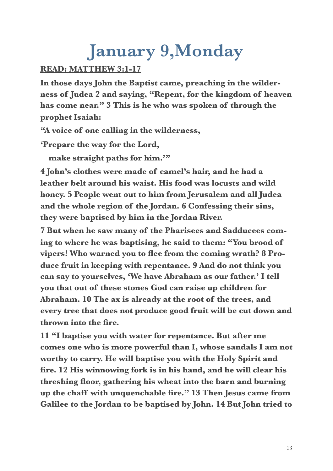### **January 9,Monday**

#### **READ: MATTHEW 3:1-17**

**In those days John the Baptist came, preaching in the wilderness of Judea 2 and saying, "Repent, for the kingdom of heaven has come near." 3 This is he who was spoken of through the prophet Isaiah:** 

**"A voice of one calling in the wilderness,** 

**'Prepare the way for the Lord,** 

make straight paths for him.""

**4 John's clothes were made of camel's hair, and he had a leather belt around his waist. His food was locusts and wild honey. 5 People went out to him from Jerusalem and all Judea and the whole region of the Jordan. 6 Confessing their sins, they were baptised by him in the Jordan River.**

**7 But when he saw many of the Pharisees and Sadducees coming to where he was baptising, he said to them: "You brood of vipers! Who warned you to flee from the coming wrath? 8 Produce fruit in keeping with repentance. 9 And do not think you can say to yourselves, 'We have Abraham as our father.' I tell you that out of these stones God can raise up children for Abraham. 10 The ax is already at the root of the trees, and every tree that does not produce good fruit will be cut down and thrown into the fire.** 

**11 "I baptise you with water for repentance. But after me comes one who is more powerful than I, whose sandals I am not worthy to carry. He will baptise you with the Holy Spirit and fire. 12 His winnowing fork is in his hand, and he will clear his threshing floor, gathering his wheat into the barn and burning up the chaff with unquenchable fire." 13 Then Jesus came from Galilee to the Jordan to be baptised by John. 14 But John tried to**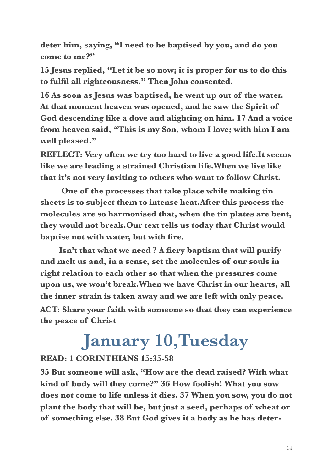**deter him, saying, "I need to be baptised by you, and do you come to me?"** 

**15 Jesus replied, "Let it be so now; it is proper for us to do this to fulfil all righteousness." Then John consented.**

**16 As soon as Jesus was baptised, he went up out of the water. At that moment heaven was opened, and he saw the Spirit of God descending like a dove and alighting on him. 17 And a voice from heaven said, "This is my Son, whom I love; with him I am well pleased."** 

**REFLECT: Very often we try too hard to live a good life.It seems like we are leading a strained Christian life.When we live like that it's not very inviting to others who want to follow Christ.** 

 **One of the processes that take place while making tin sheets is to subject them to intense heat.After this process the molecules are so harmonised that, when the tin plates are bent, they would not break.Our text tells us today that Christ would baptise not with water, but with fire.** 

 **Isn't that what we need ? A fiery baptism that will purify and melt us and, in a sense, set the molecules of our souls in right relation to each other so that when the pressures come upon us, we won't break.When we have Christ in our hearts, all the inner strain is taken away and we are left with only peace. ACT: Share your faith with someone so that they can experience the peace of Christ**

### **January 10,Tuesday**

#### **READ: 1 CORINTHIANS 15:35-58**

**35 But someone will ask, "How are the dead raised? With what kind of body will they come?" 36 How foolish! What you sow does not come to life unless it dies. 37 When you sow, you do not plant the body that will be, but just a seed, perhaps of wheat or of something else. 38 But God gives it a body as he has deter-**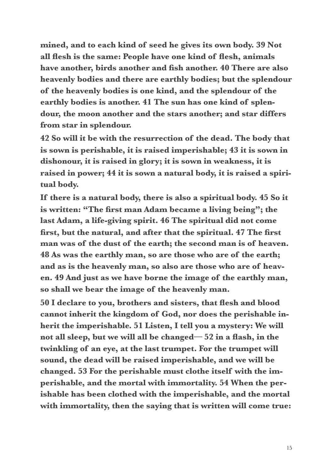**mined, and to each kind of seed he gives its own body. 39 Not all flesh is the same: People have one kind of flesh, animals have another, birds another and fish another. 40 There are also heavenly bodies and there are earthly bodies; but the splendour of the heavenly bodies is one kind, and the splendour of the earthly bodies is another. 41 The sun has one kind of splendour, the moon another and the stars another; and star differs from star in splendour.** 

**42 So will it be with the resurrection of the dead. The body that is sown is perishable, it is raised imperishable; 43 it is sown in dishonour, it is raised in glory; it is sown in weakness, it is raised in power; 44 it is sown a natural body, it is raised a spiritual body.** 

**If there is a natural body, there is also a spiritual body. 45 So it is written: "The first man Adam became a living being"; the last Adam, a life-giving spirit. 46 The spiritual did not come first, but the natural, and after that the spiritual. 47 The first man was of the dust of the earth; the second man is of heaven. 48 As was the earthly man, so are those who are of the earth; and as is the heavenly man, so also are those who are of heaven. 49 And just as we have borne the image of the earthly man, so shall we bear the image of the heavenly man.** 

**50 I declare to you, brothers and sisters, that flesh and blood cannot inherit the kingdom of God, nor does the perishable inherit the imperishable. 51 Listen, I tell you a mystery: We will not all sleep, but we will all be changed— 52 in a flash, in the twinkling of an eye, at the last trumpet. For the trumpet will sound, the dead will be raised imperishable, and we will be changed. 53 For the perishable must clothe itself with the imperishable, and the mortal with immortality. 54 When the perishable has been clothed with the imperishable, and the mortal with immortality, then the saying that is written will come true:**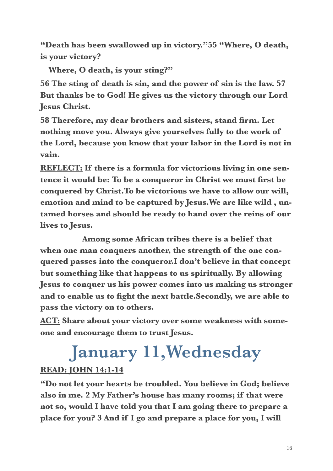**"Death has been swallowed up in victory."55 "Where, O death, is your victory?** 

 **Where, O death, is your sting?"** 

**56 The sting of death is sin, and the power of sin is the law. 57 But thanks be to God! He gives us the victory through our Lord Jesus Christ.** 

**58 Therefore, my dear brothers and sisters, stand firm. Let nothing move you. Always give yourselves fully to the work of the Lord, because you know that your labor in the Lord is not in vain.** 

**REFLECT: If there is a formula for victorious living in one sentence it would be: To be a conqueror in Christ we must first be conquered by Christ.To be victorious we have to allow our will, emotion and mind to be captured by Jesus.We are like wild , untamed horses and should be ready to hand over the reins of our lives to Jesus.** 

 **Among some African tribes there is a belief that when one man conquers another, the strength of the one conquered passes into the conqueror.I don't believe in that concept but something like that happens to us spiritually. By allowing Jesus to conquer us his power comes into us making us stronger and to enable us to fight the next battle.Secondly, we are able to pass the victory on to others.** 

**ACT: Share about your victory over some weakness with someone and encourage them to trust Jesus.** 

### **January 11,Wednesday READ: JOHN 14:1-14**

**"Do not let your hearts be troubled. You believe in God; believe also in me. 2 My Father's house has many rooms; if that were not so, would I have told you that I am going there to prepare a place for you? 3 And if I go and prepare a place for you, I will**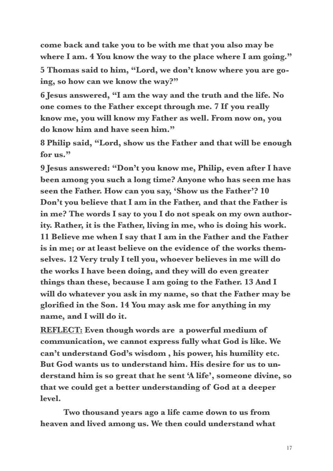**come back and take you to be with me that you also may be where I am. 4 You know the way to the place where I am going."** 

**5 Thomas said to him, "Lord, we don't know where you are going, so how can we know the way?"** 

**6 Jesus answered, "I am the way and the truth and the life. No one comes to the Father except through me. 7 If you really know me, you will know my Father as well. From now on, you do know him and have seen him."** 

**8 Philip said, "Lord, show us the Father and that will be enough for us."** 

**9 Jesus answered: "Don't you know me, Philip, even after I have been among you such a long time? Anyone who has seen me has seen the Father. How can you say, 'Show us the Father'? 10 Don't you believe that I am in the Father, and that the Father is in me? The words I say to you I do not speak on my own authority. Rather, it is the Father, living in me, who is doing his work. 11 Believe me when I say that I am in the Father and the Father is in me; or at least believe on the evidence of the works themselves. 12 Very truly I tell you, whoever believes in me will do the works I have been doing, and they will do even greater things than these, because I am going to the Father. 13 And I will do whatever you ask in my name, so that the Father may be glorified in the Son. 14 You may ask me for anything in my name, and I will do it.** 

**REFLECT: Even though words are a powerful medium of communication, we cannot express fully what God is like. We can't understand God's wisdom , his power, his humility etc. But God wants us to understand him. His desire for us to understand him is so great that he sent 'A life', someone divine, so that we could get a better understanding of God at a deeper level.** 

 **Two thousand years ago a life came down to us from heaven and lived among us. We then could understand what**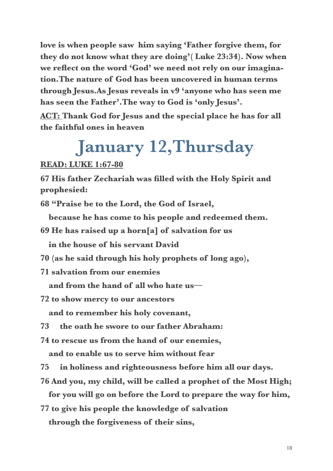**love is when people saw him saying 'Father forgive them, for they do not know what they are doing'( Luke 23:34). Now when we reflect on the word 'God' we need not rely on our imagination.The nature of God has been uncovered in human terms through Jesus.As Jesus reveals in v9 'anyone who has seen me has seen the Father'.The way to God is 'only Jesus'.** 

**ACT: Thank God for Jesus and the special place he has for all the faithful ones in heaven** 

### **January 12,Thursday**

**READ: LUKE 1:67-80** 

**67 His father Zechariah was filled with the Holy Spirit and prophesied:** 

**68 "Praise be to the Lord, the God of Israel,** 

 **because he has come to his people and redeemed them.** 

**69 He has raised up a horn[a] of salvation for us** 

 **in the house of his servant David** 

- **70 (as he said through his holy prophets of long ago),**
- **71 salvation from our enemies**

 **and from the hand of all who hate us—** 

**72 to show mercy to our ancestors** 

 **and to remember his holy covenant,** 

- **73 the oath he swore to our father Abraham:**
- **74 to rescue us from the hand of our enemies,**

 **and to enable us to serve him without fear** 

**75 in holiness and righteousness before him all our days.** 

**76 And you, my child, will be called a prophet of the Most High;** 

 **for you will go on before the Lord to prepare the way for him,** 

**77 to give his people the knowledge of salvation through the forgiveness of their sins,**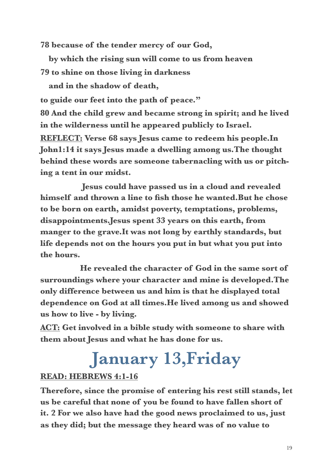**78 because of the tender mercy of our God,** 

 **by which the rising sun will come to us from heaven 79 to shine on those living in darkness** 

 **and in the shadow of death,** 

**to guide our feet into the path of peace."** 

**80 And the child grew and became strong in spirit; and he lived in the wilderness until he appeared publicly to Israel.** 

**REFLECT: Verse 68 says Jesus came to redeem his people.In John1:14 it says Jesus made a dwelling among us.The thought behind these words are someone tabernacling with us or pitching a tent in our midst.** 

 **Jesus could have passed us in a cloud and revealed himself and thrown a line to fish those he wanted.But he chose to be born on earth, amidst poverty, temptations, problems, disappointments.Jesus spent 33 years on this earth, from manger to the grave.It was not long by earthly standards, but life depends not on the hours you put in but what you put into the hours.** 

 **He revealed the character of God in the same sort of surroundings where your character and mine is developed.The only difference between us and him is that he displayed total dependence on God at all times.He lived among us and showed us how to live - by living.** 

**ACT: Get involved in a bible study with someone to share with them about Jesus and what he has done for us.** 

### **January 13,Friday**

#### **READ: HEBREWS 4:1-16**

**Therefore, since the promise of entering his rest still stands, let us be careful that none of you be found to have fallen short of it. 2 For we also have had the good news proclaimed to us, just as they did; but the message they heard was of no value to**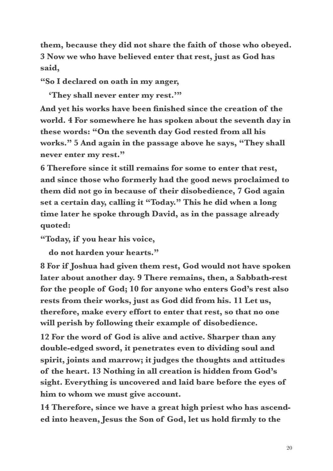**them, because they did not share the faith of those who obeyed. 3 Now we who have believed enter that rest, just as God has said,** 

**"So I declared on oath in my anger,** 

 **'They shall never enter my rest.'"** 

**And yet his works have been finished since the creation of the world. 4 For somewhere he has spoken about the seventh day in these words: "On the seventh day God rested from all his works." 5 And again in the passage above he says, "They shall never enter my rest."** 

**6 Therefore since it still remains for some to enter that rest, and since those who formerly had the good news proclaimed to them did not go in because of their disobedience, 7 God again set a certain day, calling it "Today." This he did when a long time later he spoke through David, as in the passage already quoted:** 

**"Today, if you hear his voice,** 

 **do not harden your hearts."** 

**8 For if Joshua had given them rest, God would not have spoken later about another day. 9 There remains, then, a Sabbath-rest for the people of God; 10 for anyone who enters God's rest also rests from their works, just as God did from his. 11 Let us, therefore, make every effort to enter that rest, so that no one will perish by following their example of disobedience.** 

**12 For the word of God is alive and active. Sharper than any double-edged sword, it penetrates even to dividing soul and spirit, joints and marrow; it judges the thoughts and attitudes of the heart. 13 Nothing in all creation is hidden from God's sight. Everything is uncovered and laid bare before the eyes of him to whom we must give account.** 

**14 Therefore, since we have a great high priest who has ascended into heaven, Jesus the Son of God, let us hold firmly to the**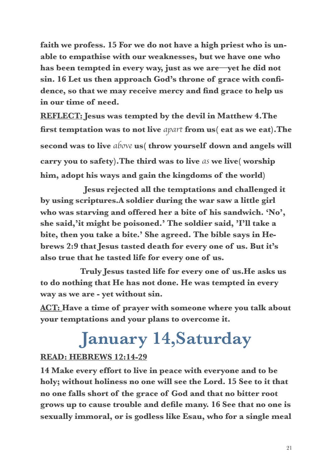**faith we profess. 15 For we do not have a high priest who is unable to empathise with our weaknesses, but we have one who has been tempted in every way, just as we are—yet he did not sin. 16 Let us then approach God's throne of grace with confidence, so that we may receive mercy and find grace to help us in our time of need.** 

**REFLECT: Jesus was tempted by the devil in Matthew 4.The first temptation was to not live** *apart* **from us( eat as we eat).The second was to live** *above* **us( throw yourself down and angels will carry you to safety).The third was to live** *as* **we live( worship him, adopt his ways and gain the kingdoms of the world)** 

 **Jesus rejected all the temptations and challenged it by using scriptures.A soldier during the war saw a little girl who was starving and offered her a bite of his sandwich. 'No', she said,'it might be poisoned.' The soldier said, 'I'll take a bite, then you take a bite.' She agreed. The bible says in Hebrews 2:9 that Jesus tasted death for every one of us. But it's also true that he tasted life for every one of us.** 

 **Truly Jesus tasted life for every one of us.He asks us to do nothing that He has not done. He was tempted in every way as we are - yet without sin.** 

**ACT: Have a time of prayer with someone where you talk about your temptations and your plans to overcome it.** 

### **January 14,Saturday**

#### **READ: HEBREWS 12:14-29**

**14 Make every effort to live in peace with everyone and to be holy; without holiness no one will see the Lord. 15 See to it that no one falls short of the grace of God and that no bitter root grows up to cause trouble and defile many. 16 See that no one is sexually immoral, or is godless like Esau, who for a single meal**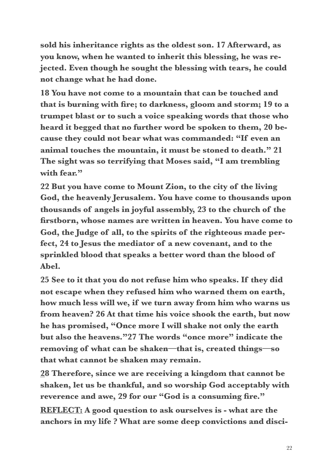**sold his inheritance rights as the oldest son. 17 Afterward, as you know, when he wanted to inherit this blessing, he was rejected. Even though he sought the blessing with tears, he could not change what he had done.** 

**18 You have not come to a mountain that can be touched and that is burning with fire; to darkness, gloom and storm; 19 to a trumpet blast or to such a voice speaking words that those who heard it begged that no further word be spoken to them, 20 because they could not bear what was commanded: "If even an animal touches the mountain, it must be stoned to death." 21 The sight was so terrifying that Moses said, "I am trembling**  with fear."

**22 But you have come to Mount Zion, to the city of the living God, the heavenly Jerusalem. You have come to thousands upon thousands of angels in joyful assembly, 23 to the church of the firstborn, whose names are written in heaven. You have come to God, the Judge of all, to the spirits of the righteous made perfect, 24 to Jesus the mediator of a new covenant, and to the sprinkled blood that speaks a better word than the blood of Abel.** 

**25 See to it that you do not refuse him who speaks. If they did not escape when they refused him who warned them on earth, how much less will we, if we turn away from him who warns us from heaven? 26 At that time his voice shook the earth, but now he has promised, "Once more I will shake not only the earth but also the heavens."27 The words "once more" indicate the removing of what can be shaken—that is, created things—so that what cannot be shaken may remain.** 

**28 Therefore, since we are receiving a kingdom that cannot be shaken, let us be thankful, and so worship God acceptably with reverence and awe, 29 for our "God is a consuming fire."** 

**REFLECT: A good question to ask ourselves is - what are the anchors in my life ? What are some deep convictions and disci-**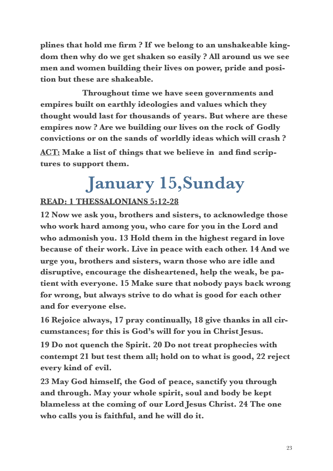**plines that hold me firm ? If we belong to an unshakeable kingdom then why do we get shaken so easily ? All around us we see men and women building their lives on power, pride and position but these are shakeable.** 

 **Throughout time we have seen governments and empires built on earthly ideologies and values which they thought would last for thousands of years. But where are these empires now ? Are we building our lives on the rock of Godly convictions or on the sands of worldly ideas which will crash ? ACT: Make a list of things that we believe in and find scriptures to support them.** 

### **January 15,Sunday**

#### **READ: 1 THESSALONIANS 5:12-28**

**12 Now we ask you, brothers and sisters, to acknowledge those who work hard among you, who care for you in the Lord and who admonish you. 13 Hold them in the highest regard in love because of their work. Live in peace with each other. 14 And we urge you, brothers and sisters, warn those who are idle and disruptive, encourage the disheartened, help the weak, be patient with everyone. 15 Make sure that nobody pays back wrong for wrong, but always strive to do what is good for each other and for everyone else.** 

**16 Rejoice always, 17 pray continually, 18 give thanks in all circumstances; for this is God's will for you in Christ Jesus.** 

**19 Do not quench the Spirit. 20 Do not treat prophecies with contempt 21 but test them all; hold on to what is good, 22 reject every kind of evil.** 

**23 May God himself, the God of peace, sanctify you through and through. May your whole spirit, soul and body be kept blameless at the coming of our Lord Jesus Christ. 24 The one who calls you is faithful, and he will do it.**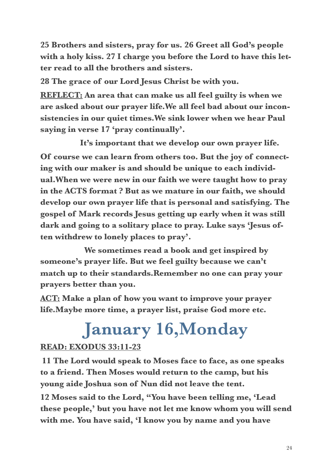**25 Brothers and sisters, pray for us. 26 Greet all God's people with a holy kiss. 27 I charge you before the Lord to have this letter read to all the brothers and sisters.** 

**28 The grace of our Lord Jesus Christ be with you.** 

**REFLECT: An area that can make us all feel guilty is when we are asked about our prayer life.We all feel bad about our inconsistencies in our quiet times.We sink lower when we hear Paul saying in verse 17 'pray continually'.** 

 **It's important that we develop our own prayer life. Of course we can learn from others too. But the joy of connecting with our maker is and should be unique to each individual.When we were new in our faith we were taught how to pray in the ACTS format ? But as we mature in our faith, we should develop our own prayer life that is personal and satisfying. The gospel of Mark records Jesus getting up early when it was still dark and going to a solitary place to pray. Luke says 'Jesus often withdrew to lonely places to pray'.** 

 **We sometimes read a book and get inspired by someone's prayer life. But we feel guilty because we can't match up to their standards.Remember no one can pray your prayers better than you.** 

**ACT: Make a plan of how you want to improve your prayer life.Maybe more time, a prayer list, praise God more etc.** 

### **January 16,Monday**

#### **READ: EXODUS 33:11-23**

**11 The Lord would speak to Moses face to face, as one speaks to a friend. Then Moses would return to the camp, but his young aide Joshua son of Nun did not leave the tent.**

**12 Moses said to the Lord, "You have been telling me, 'Lead these people,' but you have not let me know whom you will send with me. You have said, 'I know you by name and you have**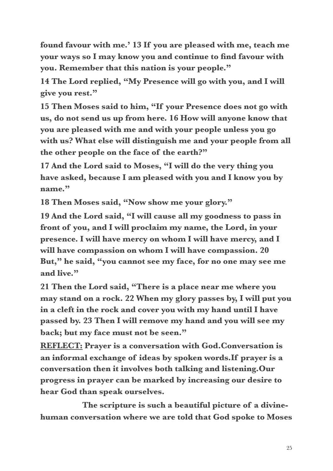**found favour with me.' 13 If you are pleased with me, teach me your ways so I may know you and continue to find favour with you. Remember that this nation is your people."**

**14 The Lord replied, "My Presence will go with you, and I will give you rest."** 

**15 Then Moses said to him, "If your Presence does not go with us, do not send us up from here. 16 How will anyone know that you are pleased with me and with your people unless you go with us? What else will distinguish me and your people from all the other people on the face of the earth?"** 

**17 And the Lord said to Moses, "I will do the very thing you have asked, because I am pleased with you and I know you by name."** 

**18 Then Moses said, "Now show me your glory."** 

**19 And the Lord said, "I will cause all my goodness to pass in front of you, and I will proclaim my name, the Lord, in your presence. I will have mercy on whom I will have mercy, and I will have compassion on whom I will have compassion. 20 But," he said, "you cannot see my face, for no one may see me and live."** 

**21 Then the Lord said, "There is a place near me where you may stand on a rock. 22 When my glory passes by, I will put you in a cleft in the rock and cover you with my hand until I have passed by. 23 Then I will remove my hand and you will see my back; but my face must not be seen."** 

**REFLECT: Prayer is a conversation with God.Conversation is an informal exchange of ideas by spoken words.If prayer is a conversation then it involves both talking and listening.Our progress in prayer can be marked by increasing our desire to hear God than speak ourselves.** 

 **The scripture is such a beautiful picture of a divinehuman conversation where we are told that God spoke to Moses**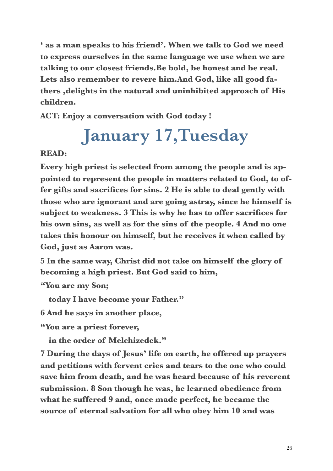**' as a man speaks to his friend'. When we talk to God we need to express ourselves in the same language we use when we are talking to our closest friends.Be bold, be honest and be real. Lets also remember to revere him.And God, like all good fathers ,delights in the natural and uninhibited approach of His children.**

**ACT: Enjoy a conversation with God today !** 

### **January 17,Tuesday**

#### **READ:**

**Every high priest is selected from among the people and is appointed to represent the people in matters related to God, to offer gifts and sacrifices for sins. 2 He is able to deal gently with those who are ignorant and are going astray, since he himself is subject to weakness. 3 This is why he has to offer sacrifices for his own sins, as well as for the sins of the people. 4 And no one takes this honour on himself, but he receives it when called by God, just as Aaron was.** 

**5 In the same way, Christ did not take on himself the glory of becoming a high priest. But God said to him,** 

**"You are my Son;** 

 **today I have become your Father."** 

**6 And he says in another place,** 

**"You are a priest forever,** 

 **in the order of Melchizedek."** 

**7 During the days of Jesus' life on earth, he offered up prayers and petitions with fervent cries and tears to the one who could save him from death, and he was heard because of his reverent submission. 8 Son though he was, he learned obedience from what he suffered 9 and, once made perfect, he became the source of eternal salvation for all who obey him 10 and was**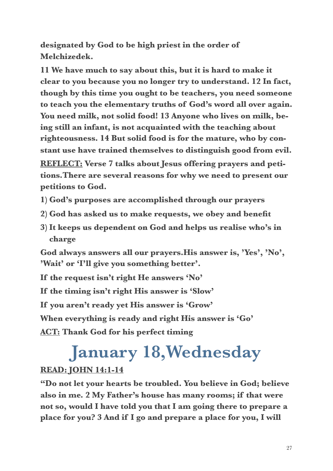**designated by God to be high priest in the order of Melchizedek.** 

**11 We have much to say about this, but it is hard to make it clear to you because you no longer try to understand. 12 In fact, though by this time you ought to be teachers, you need someone to teach you the elementary truths of God's word all over again. You need milk, not solid food! 13 Anyone who lives on milk, being still an infant, is not acquainted with the teaching about righteousness. 14 But solid food is for the mature, who by constant use have trained themselves to distinguish good from evil. REFLECT: Verse 7 talks about Jesus offering prayers and petitions.There are several reasons for why we need to present our petitions to God.** 

- **1) God's purposes are accomplished through our prayers**
- **2) God has asked us to make requests, we obey and benefit**
- **3) It keeps us dependent on God and helps us realise who's in charge**

**God always answers all our prayers.His answer is, 'Yes', 'No', 'Wait' or 'I'll give you something better'.** 

**If the request isn't right He answers 'No'** 

**If the timing isn't right His answer is 'Slow'** 

**If you aren't ready yet His answer is 'Grow'** 

**When everything is ready and right His answer is 'Go'** 

**ACT: Thank God for his perfect timing** 

### **January 18,Wednesday**

#### **READ: JOHN 14:1-14**

**"Do not let your hearts be troubled. You believe in God; believe also in me. 2 My Father's house has many rooms; if that were not so, would I have told you that I am going there to prepare a place for you? 3 And if I go and prepare a place for you, I will**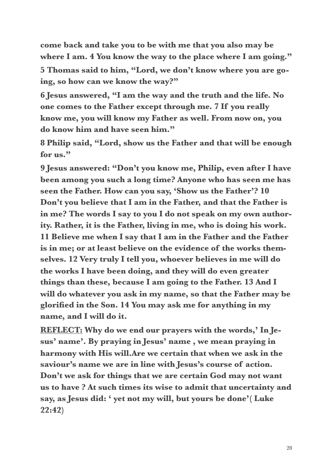**come back and take you to be with me that you also may be where I am. 4 You know the way to the place where I am going."** 

**5 Thomas said to him, "Lord, we don't know where you are going, so how can we know the way?"** 

**6 Jesus answered, "I am the way and the truth and the life. No one comes to the Father except through me. 7 If you really know me, you will know my Father as well. From now on, you do know him and have seen him."** 

**8 Philip said, "Lord, show us the Father and that will be enough for us."** 

**9 Jesus answered: "Don't you know me, Philip, even after I have been among you such a long time? Anyone who has seen me has seen the Father. How can you say, 'Show us the Father'? 10 Don't you believe that I am in the Father, and that the Father is in me? The words I say to you I do not speak on my own authority. Rather, it is the Father, living in me, who is doing his work. 11 Believe me when I say that I am in the Father and the Father is in me; or at least believe on the evidence of the works themselves. 12 Very truly I tell you, whoever believes in me will do the works I have been doing, and they will do even greater things than these, because I am going to the Father. 13 And I will do whatever you ask in my name, so that the Father may be glorified in the Son. 14 You may ask me for anything in my name, and I will do it.** 

**REFLECT: Why do we end our prayers with the words,' In Jesus' name'. By praying in Jesus' name , we mean praying in harmony with His will.Are we certain that when we ask in the saviour's name we are in line with Jesus's course of action. Don't we ask for things that we are certain God may not want us to have ? At such times its wise to admit that uncertainty and say, as Jesus did: ' yet not my will, but yours be done'( Luke 22:42)**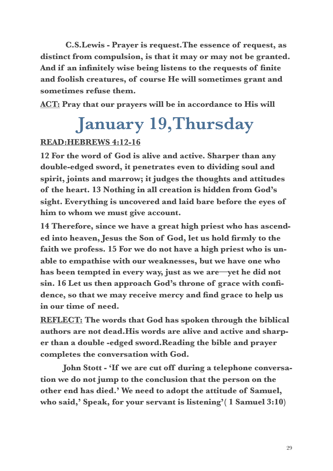**C.S.Lewis - Prayer is request.The essence of request, as distinct from compulsion, is that it may or may not be granted. And if an infinitely wise being listens to the requests of finite and foolish creatures, of course He will sometimes grant and sometimes refuse them.** 

**ACT: Pray that our prayers will be in accordance to His will** 

### **January 19,Thursday**

#### **READ:HEBREWS 4:12-16**

**12 For the word of God is alive and active. Sharper than any double-edged sword, it penetrates even to dividing soul and spirit, joints and marrow; it judges the thoughts and attitudes of the heart. 13 Nothing in all creation is hidden from God's sight. Everything is uncovered and laid bare before the eyes of him to whom we must give account.** 

**14 Therefore, since we have a great high priest who has ascended into heaven, Jesus the Son of God, let us hold firmly to the faith we profess. 15 For we do not have a high priest who is unable to empathise with our weaknesses, but we have one who has been tempted in every way, just as we are—yet he did not sin. 16 Let us then approach God's throne of grace with confidence, so that we may receive mercy and find grace to help us in our time of need.** 

**REFLECT: The words that God has spoken through the biblical authors are not dead.His words are alive and active and sharper than a double -edged sword.Reading the bible and prayer completes the conversation with God.** 

 **John Stott - 'If we are cut off during a telephone conversation we do not jump to the conclusion that the person on the other end has died.' We need to adopt the attitude of Samuel, who said,' Speak, for your servant is listening'( 1 Samuel 3:10)**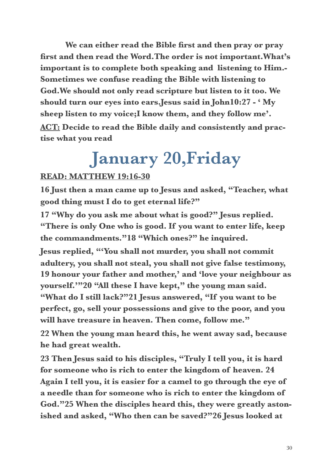**We can either read the Bible first and then pray or pray first and then read the Word.The order is not important.What's important is to complete both speaking and listening to Him.- Sometimes we confuse reading the Bible with listening to God.We should not only read scripture but listen to it too. We should turn our eyes into ears.Jesus said in John10:27 - ' My sheep listen to my voice;I know them, and they follow me'. ACT: Decide to read the Bible daily and consistently and practise what you read** 

### **January 20,Friday**

#### **READ: MATTHEW 19:16-30**

**16 Just then a man came up to Jesus and asked, "Teacher, what good thing must I do to get eternal life?"** 

**17 "Why do you ask me about what is good?" Jesus replied. "There is only One who is good. If you want to enter life, keep the commandments."18 "Which ones?" he inquired.** 

**Jesus replied, "'You shall not murder, you shall not commit adultery, you shall not steal, you shall not give false testimony, 19 honour your father and mother,' and 'love your neighbour as yourself.'"20 "All these I have kept," the young man said. "What do I still lack?"21 Jesus answered, "If you want to be perfect, go, sell your possessions and give to the poor, and you will have treasure in heaven. Then come, follow me."** 

**22 When the young man heard this, he went away sad, because he had great wealth.** 

**23 Then Jesus said to his disciples, "Truly I tell you, it is hard for someone who is rich to enter the kingdom of heaven. 24 Again I tell you, it is easier for a camel to go through the eye of a needle than for someone who is rich to enter the kingdom of God."25 When the disciples heard this, they were greatly astonished and asked, "Who then can be saved?"26 Jesus looked at**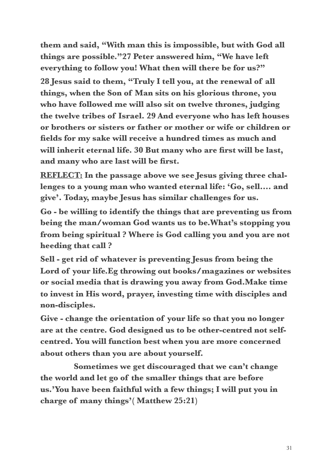**them and said, "With man this is impossible, but with God all things are possible."27 Peter answered him, "We have left everything to follow you! What then will there be for us?" 28 Jesus said to them, "Truly I tell you, at the renewal of all things, when the Son of Man sits on his glorious throne, you who have followed me will also sit on twelve thrones, judging the twelve tribes of Israel. 29 And everyone who has left houses or brothers or sisters or father or mother or wife or children or fields for my sake will receive a hundred times as much and will inherit eternal life. 30 But many who are first will be last, and many who are last will be first.** 

**REFLECT: In the passage above we see Jesus giving three challenges to a young man who wanted eternal life: 'Go, sell…. and give'. Today, maybe Jesus has similar challenges for us.** 

**Go - be willing to identify the things that are preventing us from being the man/woman God wants us to be.What's stopping you from being spiritual ? Where is God calling you and you are not heeding that call ?** 

**Sell - get rid of whatever is preventing Jesus from being the Lord of your life.Eg throwing out books/magazines or websites or social media that is drawing you away from God.Make time to invest in His word, prayer, investing time with disciples and non-disciples.** 

**Give - change the orientation of your life so that you no longer are at the centre. God designed us to be other-centred not selfcentred. You will function best when you are more concerned about others than you are about yourself.** 

 **Sometimes we get discouraged that we can't change the world and let go of the smaller things that are before us.'You have been faithful with a few things; I will put you in charge of many things'( Matthew 25:21)**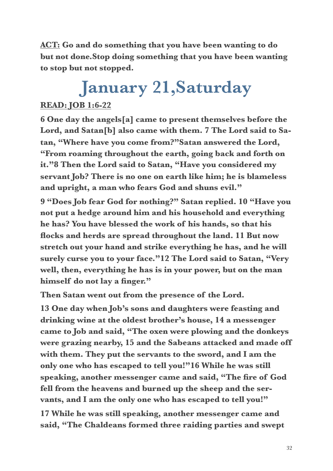**ACT: Go and do something that you have been wanting to do but not done.Stop doing something that you have been wanting to stop but not stopped.** 

## **January 21,Saturday**

#### **READ: JOB 1:6-22**

**6 One day the angels[a] came to present themselves before the Lord, and Satan[b] also came with them. 7 The Lord said to Satan, "Where have you come from?"Satan answered the Lord, "From roaming throughout the earth, going back and forth on it."8 Then the Lord said to Satan, "Have you considered my servant Job? There is no one on earth like him; he is blameless and upright, a man who fears God and shuns evil."** 

**9 "Does Job fear God for nothing?" Satan replied. 10 "Have you not put a hedge around him and his household and everything he has? You have blessed the work of his hands, so that his flocks and herds are spread throughout the land. 11 But now stretch out your hand and strike everything he has, and he will surely curse you to your face."12 The Lord said to Satan, "Very well, then, everything he has is in your power, but on the man himself do not lay a finger."** 

**Then Satan went out from the presence of the Lord.** 

**13 One day when Job's sons and daughters were feasting and drinking wine at the oldest brother's house, 14 a messenger came to Job and said, "The oxen were plowing and the donkeys were grazing nearby, 15 and the Sabeans attacked and made off with them. They put the servants to the sword, and I am the only one who has escaped to tell you!"16 While he was still speaking, another messenger came and said, "The fire of God fell from the heavens and burned up the sheep and the servants, and I am the only one who has escaped to tell you!"** 

**17 While he was still speaking, another messenger came and said, "The Chaldeans formed three raiding parties and swept**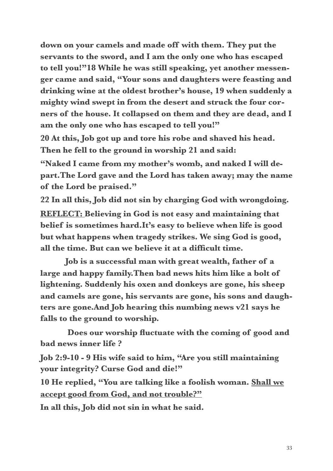**down on your camels and made off with them. They put the servants to the sword, and I am the only one who has escaped to tell you!"18 While he was still speaking, yet another messenger came and said, "Your sons and daughters were feasting and drinking wine at the oldest brother's house, 19 when suddenly a mighty wind swept in from the desert and struck the four corners of the house. It collapsed on them and they are dead, and I am the only one who has escaped to tell you!"** 

**20 At this, Job got up and tore his robe and shaved his head. Then he fell to the ground in worship 21 and said:** 

**"Naked I came from my mother's womb, and naked I will depart.The Lord gave and the Lord has taken away; may the name of the Lord be praised."** 

**22 In all this, Job did not sin by charging God with wrongdoing. REFLECT: Believing in God is not easy and maintaining that belief is sometimes hard.It's easy to believe when life is good but what happens when tragedy strikes. We sing God is good, all the time. But can we believe it at a difficult time.** 

 **Job is a successful man with great wealth, father of a large and happy family.Then bad news hits him like a bolt of lightening. Suddenly his oxen and donkeys are gone, his sheep and camels are gone, his servants are gone, his sons and daughters are gone.And Job hearing this numbing news v21 says he falls to the ground to worship.** 

 **Does our worship fluctuate with the coming of good and bad news inner life ?** 

**Job 2:9-10 - 9 His wife said to him, "Are you still maintaining your integrity? Curse God and die!"** 

**10 He replied, "You are talking like a foolish woman. Shall we accept good from God, and not trouble?"** 

**In all this, Job did not sin in what he said.**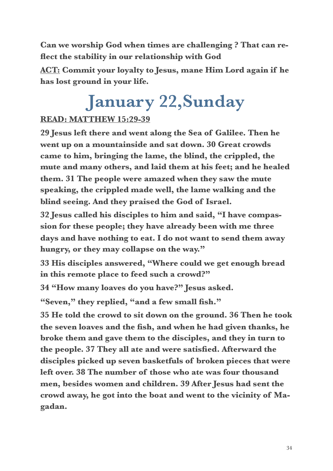**Can we worship God when times are challenging ? That can reflect the stability in our relationship with God** 

**ACT: Commit your loyalty to Jesus, mane Him Lord again if he has lost ground in your life.** 

### **January 22,Sunday**

#### **READ: MATTHEW 15:29-39**

**29 Jesus left there and went along the Sea of Galilee. Then he went up on a mountainside and sat down. 30 Great crowds came to him, bringing the lame, the blind, the crippled, the mute and many others, and laid them at his feet; and he healed them. 31 The people were amazed when they saw the mute speaking, the crippled made well, the lame walking and the blind seeing. And they praised the God of Israel.** 

**32 Jesus called his disciples to him and said, "I have compassion for these people; they have already been with me three days and have nothing to eat. I do not want to send them away hungry, or they may collapse on the way."** 

**33 His disciples answered, "Where could we get enough bread in this remote place to feed such a crowd?"** 

**34 "How many loaves do you have?" Jesus asked.** 

**"Seven," they replied, "and a few small fish."** 

**35 He told the crowd to sit down on the ground. 36 Then he took the seven loaves and the fish, and when he had given thanks, he broke them and gave them to the disciples, and they in turn to the people. 37 They all ate and were satisfied. Afterward the disciples picked up seven basketfuls of broken pieces that were left over. 38 The number of those who ate was four thousand men, besides women and children. 39 After Jesus had sent the crowd away, he got into the boat and went to the vicinity of Magadan.**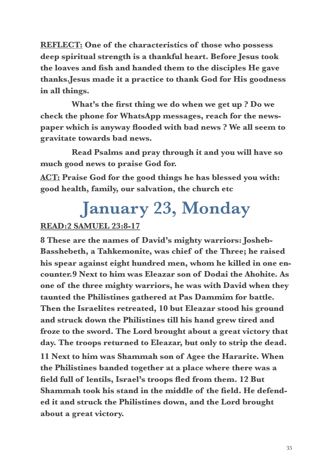**REFLECT: One of the characteristics of those who possess deep spiritual strength is a thankful heart. Before Jesus took the loaves and fish and handed them to the disciples He gave thanks.Jesus made it a practice to thank God for His goodness in all things.** 

 **What's the first thing we do when we get up ? Do we check the phone for WhatsApp messages, reach for the newspaper which is anyway flooded with bad news ? We all seem to gravitate towards bad news.** 

 **Read Psalms and pray through it and you will have so much good news to praise God for.** 

**ACT: Praise God for the good things he has blessed you with: good health, family, our salvation, the church etc** 

### **January 23, Monday**

#### **READ:2 SAMUEL 23:8-17**

**8 These are the names of David's mighty warriors: Josheb-Basshebeth, a Tahkemonite, was chief of the Three; he raised his spear against eight hundred men, whom he killed in one encounter.9 Next to him was Eleazar son of Dodai the Ahohite. As one of the three mighty warriors, he was with David when they taunted the Philistines gathered at Pas Dammim for battle. Then the Israelites retreated, 10 but Eleazar stood his ground and struck down the Philistines till his hand grew tired and froze to the sword. The Lord brought about a great victory that day. The troops returned to Eleazar, but only to strip the dead.** 

**11 Next to him was Shammah son of Agee the Hararite. When the Philistines banded together at a place where there was a field full of lentils, Israel's troops fled from them. 12 But Shammah took his stand in the middle of the field. He defended it and struck the Philistines down, and the Lord brought about a great victory.**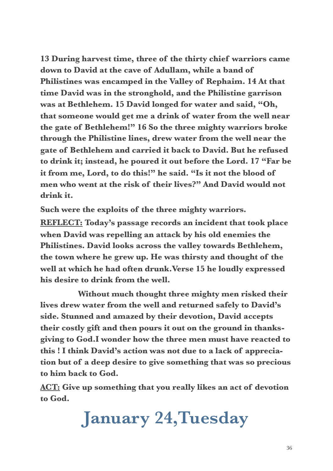**13 During harvest time, three of the thirty chief warriors came down to David at the cave of Adullam, while a band of Philistines was encamped in the Valley of Rephaim. 14 At that time David was in the stronghold, and the Philistine garrison was at Bethlehem. 15 David longed for water and said, "Oh, that someone would get me a drink of water from the well near the gate of Bethlehem!" 16 So the three mighty warriors broke through the Philistine lines, drew water from the well near the gate of Bethlehem and carried it back to David. But he refused to drink it; instead, he poured it out before the Lord. 17 "Far be it from me, Lord, to do this!" he said. "Is it not the blood of men who went at the risk of their lives?" And David would not drink it.** 

**Such were the exploits of the three mighty warriors.** 

**REFLECT: Today's passage records an incident that took place when David was repelling an attack by his old enemies the Philistines. David looks across the valley towards Bethlehem, the town where he grew up. He was thirsty and thought of the well at which he had often drunk.Verse 15 he loudly expressed his desire to drink from the well.** 

 **Without much thought three mighty men risked their lives drew water from the well and returned safely to David's side. Stunned and amazed by their devotion, David accepts their costly gift and then pours it out on the ground in thanksgiving to God.I wonder how the three men must have reacted to this ! I think David's action was not due to a lack of appreciation but of a deep desire to give something that was so precious to him back to God.** 

**ACT: Give up something that you really likes an act of devotion to God.** 

**January 24,Tuesday**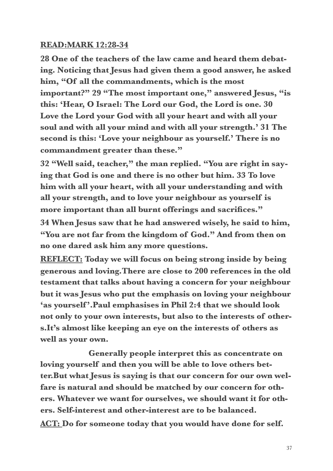#### **READ:MARK 12:28-34**

**28 One of the teachers of the law came and heard them debating. Noticing that Jesus had given them a good answer, he asked him, "Of all the commandments, which is the most important?" 29 "The most important one," answered Jesus, "is this: 'Hear, O Israel: The Lord our God, the Lord is one. 30 Love the Lord your God with all your heart and with all your soul and with all your mind and with all your strength.' 31 The second is this: 'Love your neighbour as yourself.' There is no commandment greater than these."** 

**32 "Well said, teacher," the man replied. "You are right in saying that God is one and there is no other but him. 33 To love him with all your heart, with all your understanding and with all your strength, and to love your neighbour as yourself is more important than all burnt offerings and sacrifices."** 

**34 When Jesus saw that he had answered wisely, he said to him, "You are not far from the kingdom of God." And from then on no one dared ask him any more questions.** 

**REFLECT: Today we will focus on being strong inside by being generous and loving.There are close to 200 references in the old testament that talks about having a concern for your neighbour but it was Jesus who put the emphasis on loving your neighbour 'as yourself '.Paul emphasises in Phil 2:4 that we should look not only to your own interests, but also to the interests of others.It's almost like keeping an eye on the interests of others as well as your own.** 

 **Generally people interpret this as concentrate on loving yourself and then you will be able to love others better.But what Jesus is saying is that our concern for our own welfare is natural and should be matched by our concern for others. Whatever we want for ourselves, we should want it for others. Self-interest and other-interest are to be balanced. ACT: Do for someone today that you would have done for self.**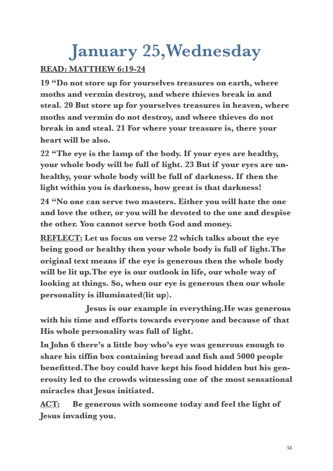### **January 25,Wednesday**

#### **READ: MATTHEW 6:19-24**

**19 "Do not store up for yourselves treasures on earth, where moths and vermin destroy, and where thieves break in and steal. 20 But store up for yourselves treasures in heaven, where moths and vermin do not destroy, and where thieves do not break in and steal. 21 For where your treasure is, there your heart will be also.** 

**22 "The eye is the lamp of the body. If your eyes are healthy, your whole body will be full of light. 23 But if your eyes are unhealthy, your whole body will be full of darkness. If then the light within you is darkness, how great is that darkness!** 

**24 "No one can serve two masters. Either you will hate the one and love the other, or you will be devoted to the one and despise the other. You cannot serve both God and money.** 

**REFLECT: Let us focus on verse 22 which talks about the eye being good or healthy then your whole body is full of light.The original text means if the eye is generous then the whole body will be lit up.The eye is our outlook in life, our whole way of looking at things. So, when our eye is generous then our whole personality is illuminated(lit up).** 

 **Jesus is our example in everything.He was generous with his time and efforts towards everyone and because of that His whole personality was full of light.** 

**In John 6 there's a little boy who's eye was generous enough to share his tiffin box containing bread and fish and 5000 people benefitted.The boy could have kept his food hidden but his generosity led to the crowds witnessing one of the most sensational miracles that Jesus initiated.** 

**ACT: Be generous with someone today and feel the light of Jesus invading you.**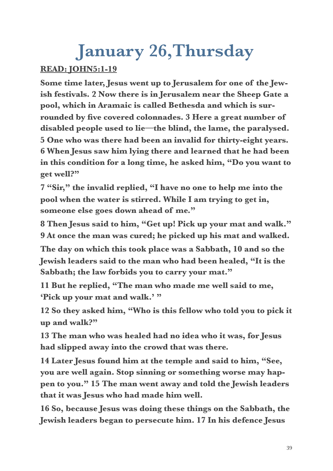### **January 26,Thursday**

#### **READ: JOHN5:1-19**

**Some time later, Jesus went up to Jerusalem for one of the Jewish festivals. 2 Now there is in Jerusalem near the Sheep Gate a pool, which in Aramaic is called Bethesda and which is surrounded by five covered colonnades. 3 Here a great number of disabled people used to lie—the blind, the lame, the paralysed. 5 One who was there had been an invalid for thirty-eight years. 6 When Jesus saw him lying there and learned that he had been in this condition for a long time, he asked him, "Do you want to get well?"** 

**7 "Sir," the invalid replied, "I have no one to help me into the pool when the water is stirred. While I am trying to get in, someone else goes down ahead of me."** 

**8 Then Jesus said to him, "Get up! Pick up your mat and walk." 9 At once the man was cured; he picked up his mat and walked.** 

**The day on which this took place was a Sabbath, 10 and so the Jewish leaders said to the man who had been healed, "It is the Sabbath; the law forbids you to carry your mat."** 

**11 But he replied, "The man who made me well said to me, 'Pick up your mat and walk.' "** 

**12 So they asked him, "Who is this fellow who told you to pick it up and walk?"** 

**13 The man who was healed had no idea who it was, for Jesus had slipped away into the crowd that was there.** 

**14 Later Jesus found him at the temple and said to him, "See, you are well again. Stop sinning or something worse may happen to you." 15 The man went away and told the Jewish leaders that it was Jesus who had made him well.** 

**16 So, because Jesus was doing these things on the Sabbath, the Jewish leaders began to persecute him. 17 In his defence Jesus**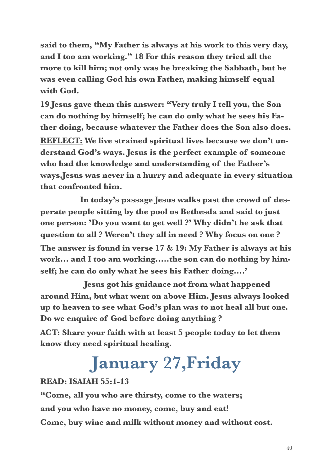**said to them, "My Father is always at his work to this very day, and I too am working." 18 For this reason they tried all the more to kill him; not only was he breaking the Sabbath, but he was even calling God his own Father, making himself equal with God.** 

**19 Jesus gave them this answer: "Very truly I tell you, the Son can do nothing by himself; he can do only what he sees his Father doing, because whatever the Father does the Son also does. REFLECT: We live strained spiritual lives because we don't understand God's ways. Jesus is the perfect example of someone who had the knowledge and understanding of the Father's ways.Jesus was never in a hurry and adequate in every situation that confronted him.** 

 **In today's passage Jesus walks past the crowd of desperate people sitting by the pool os Bethesda and said to just one person: 'Do you want to get well ?' Why didn't he ask that question to all ? Weren't they all in need ? Why focus on one ? The answer is found in verse 17 & 19: My Father is always at his work… and I too am working…..the son can do nothing by himself; he can do only what he sees his Father doing….'** 

 **Jesus got his guidance not from what happened around Him, but what went on above Him. Jesus always looked up to heaven to see what God's plan was to not heal all but one. Do we enquire of God before doing anything ?** 

**ACT: Share your faith with at least 5 people today to let them know they need spiritual healing.** 

### **January 27,Friday**

#### **READ: ISAIAH 55:1-13**

**"Come, all you who are thirsty, come to the waters; and you who have no money, come, buy and eat! Come, buy wine and milk without money and without cost.**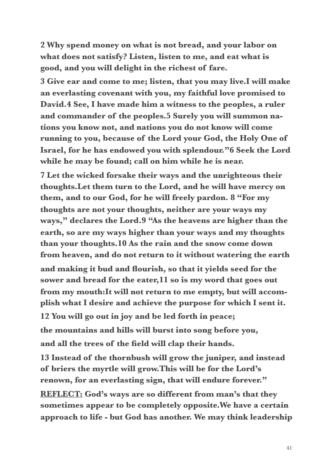**2 Why spend money on what is not bread, and your labor on what does not satisfy? Listen, listen to me, and eat what is good, and you will delight in the richest of fare.** 

**3 Give ear and come to me; listen, that you may live.I will make an everlasting covenant with you, my faithful love promised to David.4 See, I have made him a witness to the peoples, a ruler and commander of the peoples.5 Surely you will summon nations you know not, and nations you do not know will come running to you, because of the Lord your God, the Holy One of Israel, for he has endowed you with splendour."6 Seek the Lord while he may be found; call on him while he is near.** 

**7 Let the wicked forsake their ways and the unrighteous their thoughts.Let them turn to the Lord, and he will have mercy on them, and to our God, for he will freely pardon. 8 "For my thoughts are not your thoughts, neither are your ways my ways," declares the Lord.9 "As the heavens are higher than the earth, so are my ways higher than your ways and my thoughts than your thoughts.10 As the rain and the snow come down from heaven, and do not return to it without watering the earth and making it bud and flourish, so that it yields seed for the sower and bread for the eater,11 so is my word that goes out from my mouth:It will not return to me empty, but will accomplish what I desire and achieve the purpose for which I sent it. 12 You will go out in joy and be led forth in peace; the mountains and hills will burst into song before you,** 

**and all the trees of the field will clap their hands.** 

**13 Instead of the thornbush will grow the juniper, and instead of briers the myrtle will grow.This will be for the Lord's renown, for an everlasting sign, that will endure forever."** 

**REFLECT: God's ways are so different from man's that they sometimes appear to be completely opposite.We have a certain approach to life - but God has another. We may think leadership**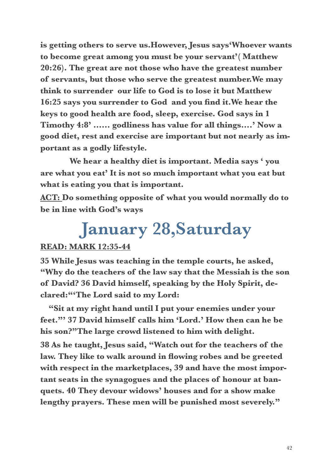**is getting others to serve us.However, Jesus says'Whoever wants to become great among you must be your servant'( Matthew 20:26). The great are not those who have the greatest number of servants, but those who serve the greatest number.We may think to surrender our life to God is to lose it but Matthew 16:25 says you surrender to God and you find it.We hear the keys to good health are food, sleep, exercise. God says in 1 Timothy 4:8' …… godliness has value for all things….' Now a good diet, rest and exercise are important but not nearly as important as a godly lifestyle.** 

 **We hear a healthy diet is important. Media says ' you are what you eat' It is not so much important what you eat but what is eating you that is important.** 

**ACT: Do something opposite of what you would normally do to be in line with God's ways** 

### **January 28,Saturday**

#### **READ: MARK 12:35-44**

**35 While Jesus was teaching in the temple courts, he asked, "Why do the teachers of the law say that the Messiah is the son of David? 36 David himself, speaking by the Holy Spirit, declared:"'The Lord said to my Lord:** 

 **"Sit at my right hand until I put your enemies under your feet."' 37 David himself calls him 'Lord.' How then can he be his son?"The large crowd listened to him with delight. 38 As he taught, Jesus said, "Watch out for the teachers of the law. They like to walk around in flowing robes and be greeted with respect in the marketplaces, 39 and have the most important seats in the synagogues and the places of honour at banquets. 40 They devour widows' houses and for a show make lengthy prayers. These men will be punished most severely."**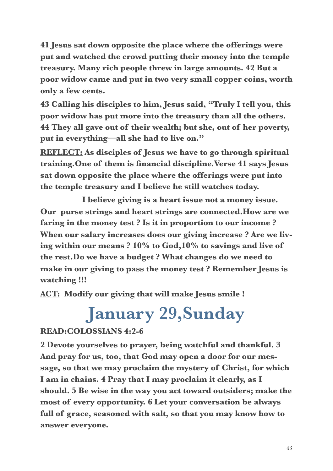**41 Jesus sat down opposite the place where the offerings were put and watched the crowd putting their money into the temple treasury. Many rich people threw in large amounts. 42 But a poor widow came and put in two very small copper coins, worth only a few cents.** 

**43 Calling his disciples to him, Jesus said, "Truly I tell you, this poor widow has put more into the treasury than all the others. 44 They all gave out of their wealth; but she, out of her poverty, put in everything—all she had to live on."** 

**REFLECT: As disciples of Jesus we have to go through spiritual training.One of them is financial discipline.Verse 41 says Jesus sat down opposite the place where the offerings were put into the temple treasury and I believe he still watches today.** 

 **I believe giving is a heart issue not a money issue. Our purse strings and heart strings are connected.How are we faring in the money test ? Is it in proportion to our income ? When our salary increases does our giving increase ? Are we living within our means ? 10% to God,10% to savings and live of the rest.Do we have a budget ? What changes do we need to make in our giving to pass the money test ? Remember Jesus is watching !!!** 

**ACT: Modify our giving that will make Jesus smile !** 

### **January 29,Sunday**

#### **READ:COLOSSIANS 4:2-6**

**2 Devote yourselves to prayer, being watchful and thankful. 3 And pray for us, too, that God may open a door for our message, so that we may proclaim the mystery of Christ, for which I am in chains. 4 Pray that I may proclaim it clearly, as I should. 5 Be wise in the way you act toward outsiders; make the most of every opportunity. 6 Let your conversation be always full of grace, seasoned with salt, so that you may know how to answer everyone.**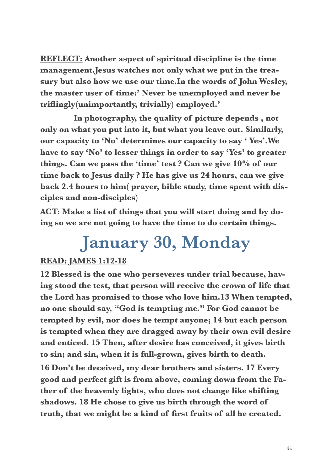**REFLECT: Another aspect of spiritual discipline is the time management.Jesus watches not only what we put in the treasury but also how we use our time.In the words of John Wesley, the master user of time:' Never be unemployed and never be triflingly(unimportantly, trivially) employed.'** 

 **In photography, the quality of picture depends , not only on what you put into it, but what you leave out. Similarly, our capacity to 'No' determines our capacity to say ' Yes'.We have to say 'No' to lesser things in order to say 'Yes' to greater things. Can we pass the 'time' test ? Can we give 10% of our time back to Jesus daily ? He has give us 24 hours, can we give back 2.4 hours to him( prayer, bible study, time spent with disciples and non-disciples)** 

**ACT: Make a list of things that you will start doing and by doing so we are not going to have the time to do certain things.** 

### **January 30, Monday**

#### **READ: JAMES 1:12-18**

**12 Blessed is the one who perseveres under trial because, having stood the test, that person will receive the crown of life that the Lord has promised to those who love him.13 When tempted, no one should say, "God is tempting me." For God cannot be tempted by evil, nor does he tempt anyone; 14 but each person is tempted when they are dragged away by their own evil desire and enticed. 15 Then, after desire has conceived, it gives birth to sin; and sin, when it is full-grown, gives birth to death.** 

**16 Don't be deceived, my dear brothers and sisters. 17 Every good and perfect gift is from above, coming down from the Father of the heavenly lights, who does not change like shifting shadows. 18 He chose to give us birth through the word of truth, that we might be a kind of first fruits of all he created.**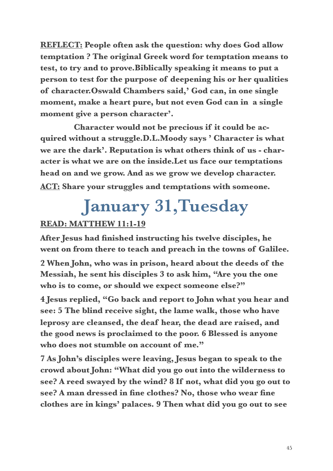**REFLECT: People often ask the question: why does God allow temptation ? The original Greek word for temptation means to test, to try and to prove.Biblically speaking it means to put a person to test for the purpose of deepening his or her qualities of character.Oswald Chambers said,' God can, in one single moment, make a heart pure, but not even God can in a single moment give a person character'.** 

 **Character would not be precious if it could be acquired without a struggle.D.L.Moody says ' Character is what we are the dark'. Reputation is what others think of us - character is what we are on the inside.Let us face our temptations head on and we grow. And as we grow we develop character. ACT: Share your struggles and temptations with someone.** 

### **January 31,Tuesday**

#### **READ: MATTHEW 11:1-19**

**After Jesus had finished instructing his twelve disciples, he went on from there to teach and preach in the towns of Galilee.** 

**2 When John, who was in prison, heard about the deeds of the Messiah, he sent his disciples 3 to ask him, "Are you the one who is to come, or should we expect someone else?"** 

**4 Jesus replied, "Go back and report to John what you hear and see: 5 The blind receive sight, the lame walk, those who have leprosy are cleansed, the deaf hear, the dead are raised, and the good news is proclaimed to the poor. 6 Blessed is anyone who does not stumble on account of me."** 

**7 As John's disciples were leaving, Jesus began to speak to the crowd about John: "What did you go out into the wilderness to see? A reed swayed by the wind? 8 If not, what did you go out to see? A man dressed in fine clothes? No, those who wear fine clothes are in kings' palaces. 9 Then what did you go out to see**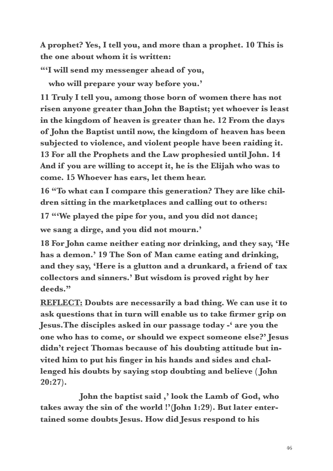**A prophet? Yes, I tell you, and more than a prophet. 10 This is the one about whom it is written:** 

**"'I will send my messenger ahead of you,** 

 **who will prepare your way before you.'** 

**11 Truly I tell you, among those born of women there has not risen anyone greater than John the Baptist; yet whoever is least in the kingdom of heaven is greater than he. 12 From the days of John the Baptist until now, the kingdom of heaven has been subjected to violence, and violent people have been raiding it. 13 For all the Prophets and the Law prophesied until John. 14 And if you are willing to accept it, he is the Elijah who was to come. 15 Whoever has ears, let them hear.** 

**16 "To what can I compare this generation? They are like children sitting in the marketplaces and calling out to others:** 

**17 "'We played the pipe for you, and you did not dance; we sang a dirge, and you did not mourn.'** 

**18 For John came neither eating nor drinking, and they say, 'He has a demon.' 19 The Son of Man came eating and drinking, and they say, 'Here is a glutton and a drunkard, a friend of tax collectors and sinners.' But wisdom is proved right by her deeds."** 

**REFLECT: Doubts are necessarily a bad thing. We can use it to ask questions that in turn will enable us to take firmer grip on Jesus.The disciples asked in our passage today -' are you the one who has to come, or should we expect someone else?' Jesus didn't reject Thomas because of his doubting attitude but invited him to put his finger in his hands and sides and challenged his doubts by saying stop doubting and believe ( John 20:27).** 

 **John the baptist said ,' look the Lamb of God, who takes away the sin of the world !'(John 1:29). But later entertained some doubts Jesus. How did Jesus respond to his**